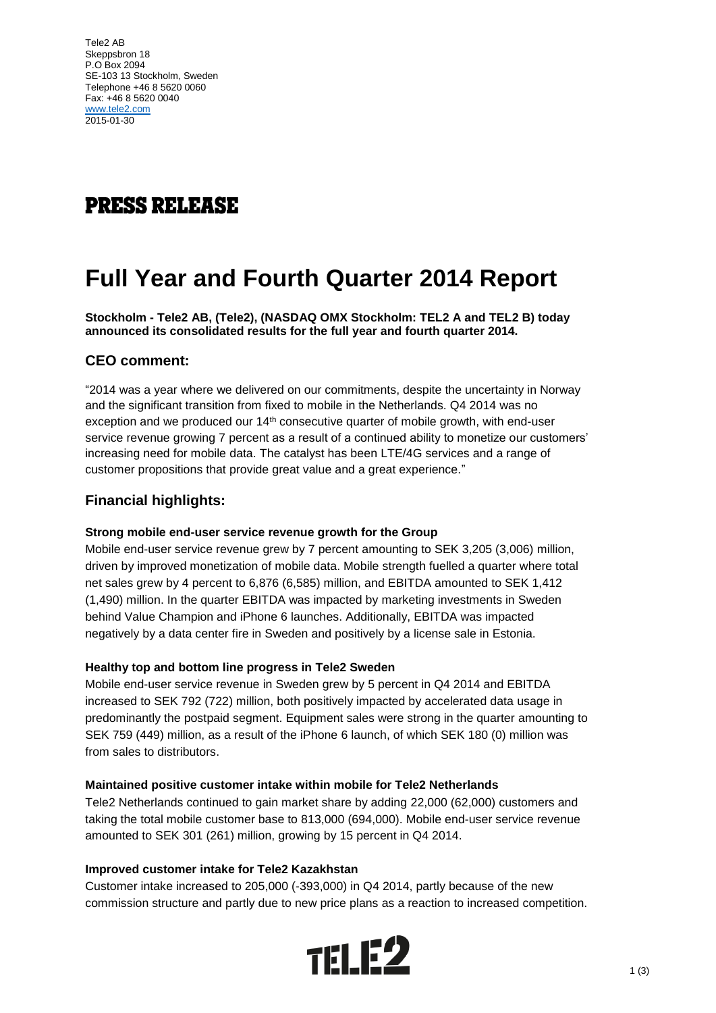Tele2 AB Skeppsbron 18 P.O Box 2094 SE-103 13 Stockholm, Sweden Telephone +46 8 5620 0060 Fax: +46 8 5620 0040 [www.tele2.com](http://www.tele2.com/) 2015-01-30

# **PRESS RELEASE**

# **Full Year and Fourth Quarter 2014 Report**

**Stockholm - Tele2 AB, (Tele2), (NASDAQ OMX Stockholm: TEL2 A and TEL2 B) today announced its consolidated results for the full year and fourth quarter 2014.**

## **CEO comment:**

"2014 was a year where we delivered on our commitments, despite the uncertainty in Norway and the significant transition from fixed to mobile in the Netherlands. Q4 2014 was no exception and we produced our 14<sup>th</sup> consecutive quarter of mobile growth, with end-user service revenue growing 7 percent as a result of a continued ability to monetize our customers' increasing need for mobile data. The catalyst has been LTE/4G services and a range of customer propositions that provide great value and a great experience."

### **Financial highlights:**

#### **Strong mobile end-user service revenue growth for the Group**

Mobile end-user service revenue grew by 7 percent amounting to SEK 3,205 (3,006) million, driven by improved monetization of mobile data. Mobile strength fuelled a quarter where total net sales grew by 4 percent to 6,876 (6,585) million, and EBITDA amounted to SEK 1,412 (1,490) million. In the quarter EBITDA was impacted by marketing investments in Sweden behind Value Champion and iPhone 6 launches. Additionally, EBITDA was impacted negatively by a data center fire in Sweden and positively by a license sale in Estonia.

#### **Healthy top and bottom line progress in Tele2 Sweden**

Mobile end-user service revenue in Sweden grew by 5 percent in Q4 2014 and EBITDA increased to SEK 792 (722) million, both positively impacted by accelerated data usage in predominantly the postpaid segment. Equipment sales were strong in the quarter amounting to SEK 759 (449) million, as a result of the iPhone 6 launch, of which SEK 180 (0) million was from sales to distributors.

#### **Maintained positive customer intake within mobile for Tele2 Netherlands**

Tele2 Netherlands continued to gain market share by adding 22,000 (62,000) customers and taking the total mobile customer base to 813,000 (694,000). Mobile end-user service revenue amounted to SEK 301 (261) million, growing by 15 percent in Q4 2014.

#### **Improved customer intake for Tele2 Kazakhstan**

Customer intake increased to 205,000 (-393,000) in Q4 2014, partly because of the new commission structure and partly due to new price plans as a reaction to increased competition.

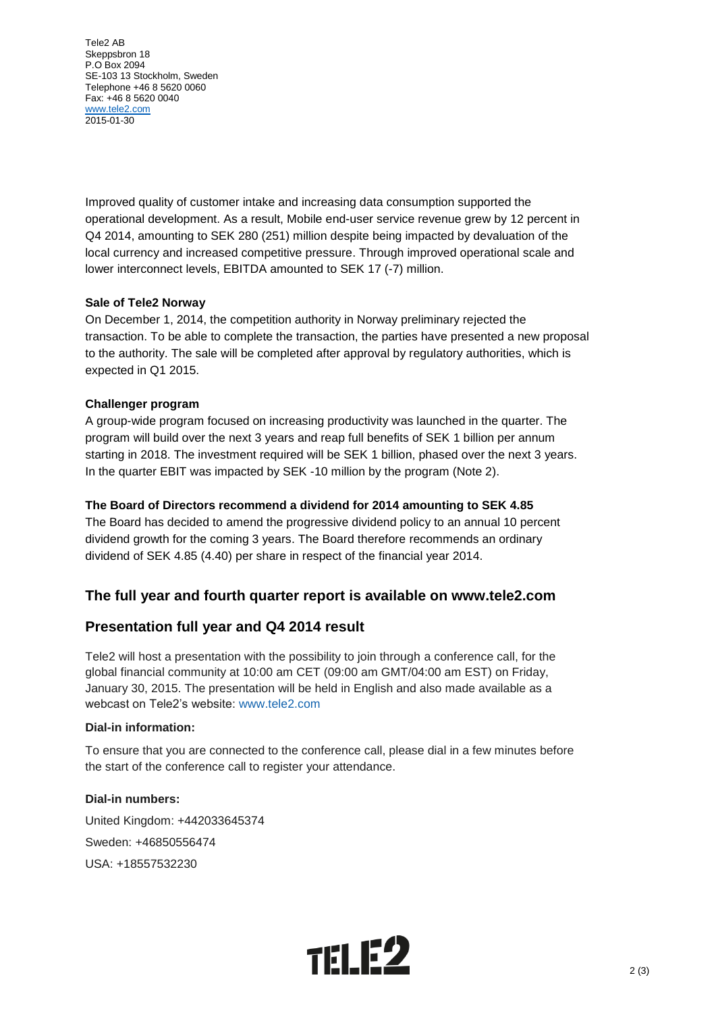Tele2 AB Skeppsbron 18 P.O Box 2094 SE-103 13 Stockholm, Sweden Telephone +46 8 5620 0060 Fax: +46 8 5620 0040 [www.tele2.com](http://www.tele2.com/) 2015-01-30

Improved quality of customer intake and increasing data consumption supported the operational development. As a result, Mobile end-user service revenue grew by 12 percent in Q4 2014, amounting to SEK 280 (251) million despite being impacted by devaluation of the local currency and increased competitive pressure. Through improved operational scale and lower interconnect levels, EBITDA amounted to SEK 17 (-7) million.

#### **Sale of Tele2 Norway**

On December 1, 2014, the competition authority in Norway preliminary rejected the transaction. To be able to complete the transaction, the parties have presented a new proposal to the authority. The sale will be completed after approval by regulatory authorities, which is expected in Q1 2015.

#### **Challenger program**

A group-wide program focused on increasing productivity was launched in the quarter. The program will build over the next 3 years and reap full benefits of SEK 1 billion per annum starting in 2018. The investment required will be SEK 1 billion, phased over the next 3 years. In the quarter EBIT was impacted by SEK -10 million by the program (Note 2).

#### **The Board of Directors recommend a dividend for 2014 amounting to SEK 4.85**

The Board has decided to amend the progressive dividend policy to an annual 10 percent dividend growth for the coming 3 years. The Board therefore recommends an ordinary dividend of SEK 4.85 (4.40) per share in respect of the financial year 2014.

## **The full year and fourth quarter report is available on www.tele2.com**

## **Presentation full year and Q4 2014 result**

Tele2 will host a presentation with the possibility to join through a conference call, for the global financial community at 10:00 am CET (09:00 am GMT/04:00 am EST) on Friday, January 30, 2015. The presentation will be held in English and also made available as a webcast on Tele2's website: [www.tele2.com](http://www.tele2.com/)

#### **Dial-in information:**

To ensure that you are connected to the conference call, please dial in a few minutes before the start of the conference call to register your attendance.

**Dial-in numbers:** United Kingdom: +442033645374 Sweden: +46850556474 USA: +18557532230